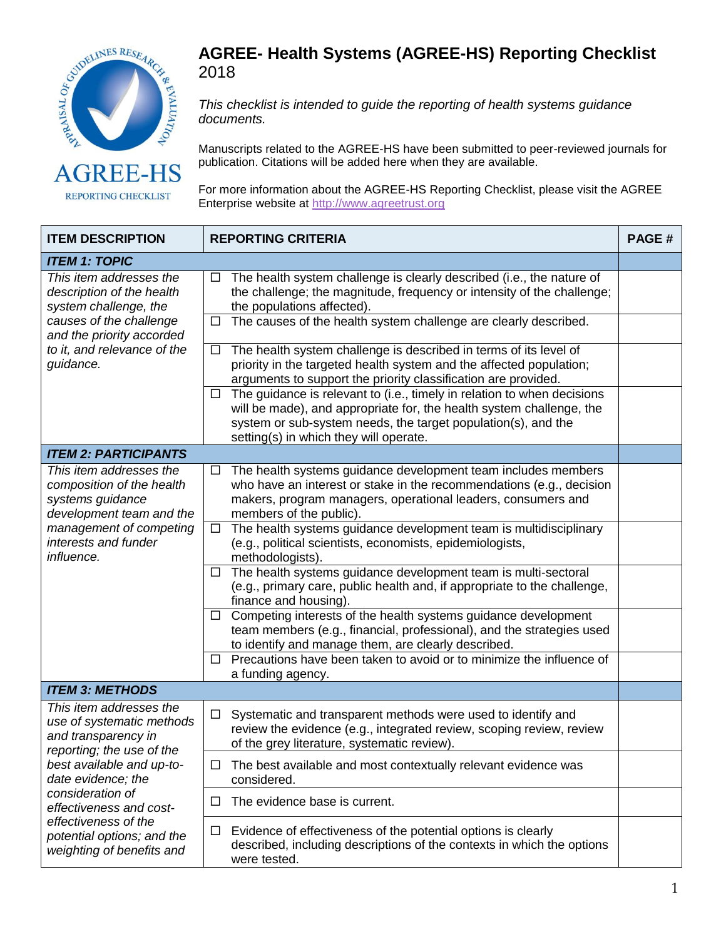

REPORTING CHECKLIST

## **AGREE- Health Systems (AGREE-HS) Reporting Checklist**  2018

*This checklist is intended to guide the reporting of health systems guidance documents.*

Manuscripts related to the AGREE-HS have been submitted to peer-reviewed journals for publication. Citations will be added here when they are available.

For more information about the AGREE-HS Reporting Checklist, please visit the AGREE Enterprise website at [http://www.agreetrust.org](http://www.agreetrust.org/)

| <b>ITEM DESCRIPTION</b>                                                                                                                                                                                                                                                                       | <b>REPORTING CRITERIA</b>                                                                                                                                                                                                                                             |  |  |  |
|-----------------------------------------------------------------------------------------------------------------------------------------------------------------------------------------------------------------------------------------------------------------------------------------------|-----------------------------------------------------------------------------------------------------------------------------------------------------------------------------------------------------------------------------------------------------------------------|--|--|--|
| <b>ITEM 1: TOPIC</b>                                                                                                                                                                                                                                                                          |                                                                                                                                                                                                                                                                       |  |  |  |
| This item addresses the<br>description of the health<br>system challenge, the<br>causes of the challenge<br>and the priority accorded<br>to it, and relevance of the<br>guidance.                                                                                                             | The health system challenge is clearly described (i.e., the nature of<br>$\Box$<br>the challenge; the magnitude, frequency or intensity of the challenge;<br>the populations affected).<br>The causes of the health system challenge are clearly described.<br>$\Box$ |  |  |  |
|                                                                                                                                                                                                                                                                                               |                                                                                                                                                                                                                                                                       |  |  |  |
|                                                                                                                                                                                                                                                                                               | The health system challenge is described in terms of its level of<br>$\Box$<br>priority in the targeted health system and the affected population;<br>arguments to support the priority classification are provided.                                                  |  |  |  |
|                                                                                                                                                                                                                                                                                               | The guidance is relevant to (i.e., timely in relation to when decisions<br>$\Box$<br>will be made), and appropriate for, the health system challenge, the<br>system or sub-system needs, the target population(s), and the<br>setting(s) in which they will operate.  |  |  |  |
| <b>ITEM 2: PARTICIPANTS</b>                                                                                                                                                                                                                                                                   |                                                                                                                                                                                                                                                                       |  |  |  |
| This item addresses the<br>composition of the health<br>systems guidance<br>development team and the<br>management of competing<br>interests and funder<br>influence.                                                                                                                         | The health systems guidance development team includes members<br>$\Box$<br>who have an interest or stake in the recommendations (e.g., decision<br>makers, program managers, operational leaders, consumers and<br>members of the public).                            |  |  |  |
|                                                                                                                                                                                                                                                                                               | The health systems guidance development team is multidisciplinary<br>$\Box$<br>(e.g., political scientists, economists, epidemiologists,<br>methodologists).                                                                                                          |  |  |  |
|                                                                                                                                                                                                                                                                                               | The health systems guidance development team is multi-sectoral<br>□<br>(e.g., primary care, public health and, if appropriate to the challenge,<br>finance and housing).                                                                                              |  |  |  |
|                                                                                                                                                                                                                                                                                               | Competing interests of the health systems guidance development<br>ப<br>team members (e.g., financial, professional), and the strategies used<br>to identify and manage them, are clearly described.                                                                   |  |  |  |
|                                                                                                                                                                                                                                                                                               | Precautions have been taken to avoid or to minimize the influence of<br>⊔<br>a funding agency.                                                                                                                                                                        |  |  |  |
| <b>ITEM 3: METHODS</b>                                                                                                                                                                                                                                                                        |                                                                                                                                                                                                                                                                       |  |  |  |
| This item addresses the<br>use of systematic methods<br>and transparency in<br>reporting; the use of the<br>best available and up-to-<br>date evidence; the<br>consideration of<br>effectiveness and cost-<br>effectiveness of the<br>potential options; and the<br>weighting of benefits and | Systematic and transparent methods were used to identify and<br>□<br>review the evidence (e.g., integrated review, scoping review, review<br>of the grey literature, systematic review).                                                                              |  |  |  |
|                                                                                                                                                                                                                                                                                               | The best available and most contextually relevant evidence was<br>□<br>considered.                                                                                                                                                                                    |  |  |  |
|                                                                                                                                                                                                                                                                                               | The evidence base is current.<br>⊔                                                                                                                                                                                                                                    |  |  |  |
|                                                                                                                                                                                                                                                                                               | Evidence of effectiveness of the potential options is clearly<br>$\Box$<br>described, including descriptions of the contexts in which the options<br>were tested.                                                                                                     |  |  |  |